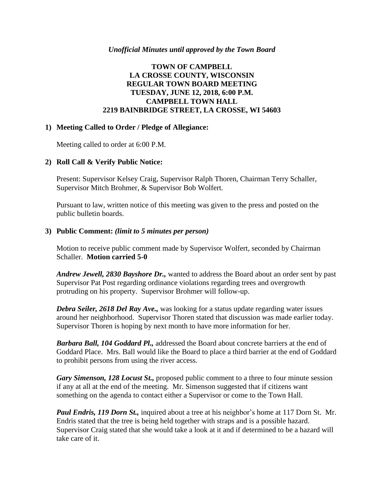#### *Unofficial Minutes until approved by the Town Board*

# **TOWN OF CAMPBELL LA CROSSE COUNTY, WISCONSIN REGULAR TOWN BOARD MEETING TUESDAY, JUNE 12, 2018, 6:00 P.M. CAMPBELL TOWN HALL 2219 BAINBRIDGE STREET, LA CROSSE, WI 54603**

#### **1) Meeting Called to Order / Pledge of Allegiance:**

Meeting called to order at 6:00 P.M.

# **2) Roll Call & Verify Public Notice:**

Present: Supervisor Kelsey Craig, Supervisor Ralph Thoren, Chairman Terry Schaller, Supervisor Mitch Brohmer, & Supervisor Bob Wolfert.

Pursuant to law, written notice of this meeting was given to the press and posted on the public bulletin boards.

#### **3) Public Comment:** *(limit to 5 minutes per person)*

Motion to receive public comment made by Supervisor Wolfert, seconded by Chairman Schaller. **Motion carried 5-0**

*Andrew Jewell, 2830 Bayshore Dr.,* wanted to address the Board about an order sent by past Supervisor Pat Post regarding ordinance violations regarding trees and overgrowth protruding on his property. Supervisor Brohmer will follow-up.

*Debra Seiler, 2618 Del Ray Ave.,* was looking for a status update regarding water issues around her neighborhood. Supervisor Thoren stated that discussion was made earlier today. Supervisor Thoren is hoping by next month to have more information for her.

*Barbara Ball, 104 Goddard Pl.,* addressed the Board about concrete barriers at the end of Goddard Place. Mrs. Ball would like the Board to place a third barrier at the end of Goddard to prohibit persons from using the river access.

*Gary Simenson, 128 Locust St.,* proposed public comment to a three to four minute session if any at all at the end of the meeting. Mr. Simenson suggested that if citizens want something on the agenda to contact either a Supervisor or come to the Town Hall.

*Paul Endris, 119 Dorn St.,* inquired about a tree at his neighbor's home at 117 Dorn St. Mr. Endris stated that the tree is being held together with straps and is a possible hazard. Supervisor Craig stated that she would take a look at it and if determined to be a hazard will take care of it.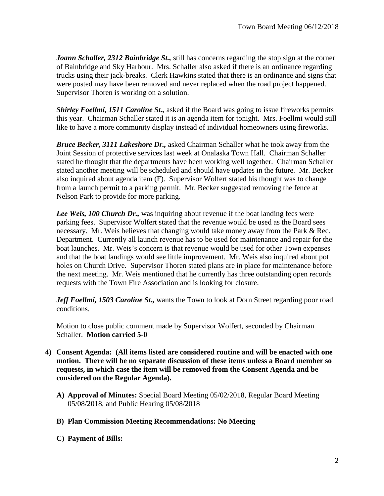*Joann Schaller, 2312 Bainbridge St.,* still has concerns regarding the stop sign at the corner of Bainbridge and Sky Harbour. Mrs. Schaller also asked if there is an ordinance regarding trucks using their jack-breaks. Clerk Hawkins stated that there is an ordinance and signs that were posted may have been removed and never replaced when the road project happened. Supervisor Thoren is working on a solution.

*Shirley Foellmi, 1511 Caroline St.,* asked if the Board was going to issue fireworks permits this year. Chairman Schaller stated it is an agenda item for tonight. Mrs. Foellmi would still like to have a more community display instead of individual homeowners using fireworks.

*Bruce Becker, 3111 Lakeshore Dr.,* asked Chairman Schaller what he took away from the Joint Session of protective services last week at Onalaska Town Hall. Chairman Schaller stated he thought that the departments have been working well together. Chairman Schaller stated another meeting will be scheduled and should have updates in the future. Mr. Becker also inquired about agenda item (F). Supervisor Wolfert stated his thought was to change from a launch permit to a parking permit. Mr. Becker suggested removing the fence at Nelson Park to provide for more parking.

*Lee Weis, 100 Church Dr.,* was inquiring about revenue if the boat landing fees were parking fees. Supervisor Wolfert stated that the revenue would be used as the Board sees necessary. Mr. Weis believes that changing would take money away from the Park & Rec. Department. Currently all launch revenue has to be used for maintenance and repair for the boat launches. Mr. Weis's concern is that revenue would be used for other Town expenses and that the boat landings would see little improvement. Mr. Weis also inquired about pot holes on Church Drive. Supervisor Thoren stated plans are in place for maintenance before the next meeting. Mr. Weis mentioned that he currently has three outstanding open records requests with the Town Fire Association and is looking for closure.

Jeff Foellmi, 1503 Caroline St., wants the Town to look at Dorn Street regarding poor road conditions.

Motion to close public comment made by Supervisor Wolfert, seconded by Chairman Schaller. **Motion carried 5-0**

- **4) Consent Agenda: (All items listed are considered routine and will be enacted with one motion. There will be no separate discussion of these items unless a Board member so requests, in which case the item will be removed from the Consent Agenda and be considered on the Regular Agenda).**
	- **A) Approval of Minutes:** Special Board Meeting 05/02/2018, Regular Board Meeting 05/08/2018, and Public Hearing 05/08/2018
	- **B) Plan Commission Meeting Recommendations: No Meeting**
	- **C) Payment of Bills:**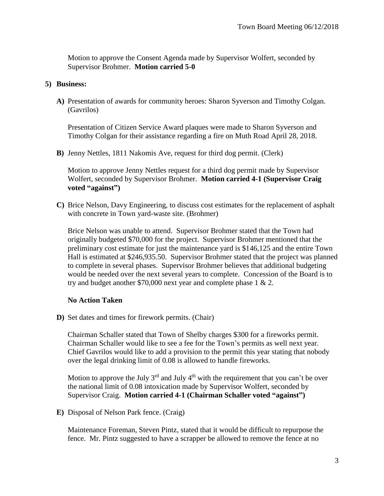Motion to approve the Consent Agenda made by Supervisor Wolfert, seconded by Supervisor Brohmer. **Motion carried 5-0**

#### **5) Business:**

**A)** Presentation of awards for community heroes: Sharon Syverson and Timothy Colgan. (Gavrilos)

Presentation of Citizen Service Award plaques were made to Sharon Syverson and Timothy Colgan for their assistance regarding a fire on Muth Road April 28, 2018.

**B)** Jenny Nettles, 1811 Nakomis Ave, request for third dog permit. (Clerk)

Motion to approve Jenny Nettles request for a third dog permit made by Supervisor Wolfert, seconded by Supervisor Brohmer. **Motion carried 4-1 (Supervisor Craig voted "against")**

**C)** Brice Nelson, Davy Engineering, to discuss cost estimates for the replacement of asphalt with concrete in Town yard-waste site. (Brohmer)

Brice Nelson was unable to attend. Supervisor Brohmer stated that the Town had originally budgeted \$70,000 for the project. Supervisor Brohmer mentioned that the preliminary cost estimate for just the maintenance yard is \$146,125 and the entire Town Hall is estimated at \$246,935.50. Supervisor Brohmer stated that the project was planned to complete in several phases. Supervisor Brohmer believes that additional budgeting would be needed over the next several years to complete. Concession of the Board is to try and budget another \$70,000 next year and complete phase 1 & 2.

# **No Action Taken**

**D)** Set dates and times for firework permits. (Chair)

Chairman Schaller stated that Town of Shelby charges \$300 for a fireworks permit. Chairman Schaller would like to see a fee for the Town's permits as well next year. Chief Gavrilos would like to add a provision to the permit this year stating that nobody over the legal drinking limit of 0.08 is allowed to handle fireworks.

Motion to approve the July  $3^{rd}$  and July  $4^{th}$  with the requirement that you can't be over the national limit of 0.08 intoxication made by Supervisor Wolfert, seconded by Supervisor Craig. **Motion carried 4-1 (Chairman Schaller voted "against")**

**E)** Disposal of Nelson Park fence. (Craig)

Maintenance Foreman, Steven Pintz, stated that it would be difficult to repurpose the fence. Mr. Pintz suggested to have a scrapper be allowed to remove the fence at no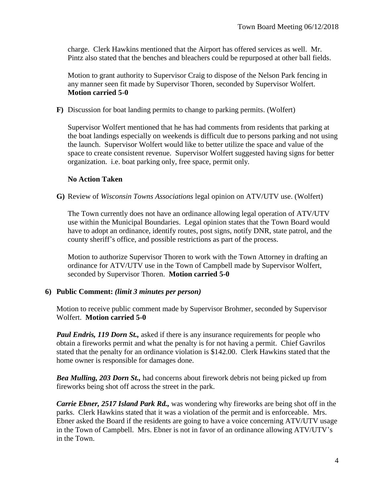charge. Clerk Hawkins mentioned that the Airport has offered services as well. Mr. Pintz also stated that the benches and bleachers could be repurposed at other ball fields.

Motion to grant authority to Supervisor Craig to dispose of the Nelson Park fencing in any manner seen fit made by Supervisor Thoren, seconded by Supervisor Wolfert. **Motion carried 5-0**

**F)** Discussion for boat landing permits to change to parking permits. (Wolfert)

Supervisor Wolfert mentioned that he has had comments from residents that parking at the boat landings especially on weekends is difficult due to persons parking and not using the launch. Supervisor Wolfert would like to better utilize the space and value of the space to create consistent revenue. Supervisor Wolfert suggested having signs for better organization. i.e. boat parking only, free space, permit only.

# **No Action Taken**

**G)** Review of *Wisconsin Towns Associations* legal opinion on ATV/UTV use. (Wolfert)

The Town currently does not have an ordinance allowing legal operation of ATV/UTV use within the Municipal Boundaries. Legal opinion states that the Town Board would have to adopt an ordinance, identify routes, post signs, notify DNR, state patrol, and the county sheriff's office, and possible restrictions as part of the process.

Motion to authorize Supervisor Thoren to work with the Town Attorney in drafting an ordinance for ATV/UTV use in the Town of Campbell made by Supervisor Wolfert, seconded by Supervisor Thoren. **Motion carried 5-0**

# **6) Public Comment:** *(limit 3 minutes per person)*

Motion to receive public comment made by Supervisor Brohmer, seconded by Supervisor Wolfert. **Motion carried 5-0**

*Paul Endris, 119 Dorn St.,* asked if there is any insurance requirements for people who obtain a fireworks permit and what the penalty is for not having a permit. Chief Gavrilos stated that the penalty for an ordinance violation is \$142.00. Clerk Hawkins stated that the home owner is responsible for damages done.

*Bea Mulling, 203 Dorn St.,* had concerns about firework debris not being picked up from fireworks being shot off across the street in the park.

*Carrie Ebner, 2517 Island Park Rd.,* was wondering why fireworks are being shot off in the parks. Clerk Hawkins stated that it was a violation of the permit and is enforceable. Mrs. Ebner asked the Board if the residents are going to have a voice concerning ATV/UTV usage in the Town of Campbell. Mrs. Ebner is not in favor of an ordinance allowing ATV/UTV's in the Town.